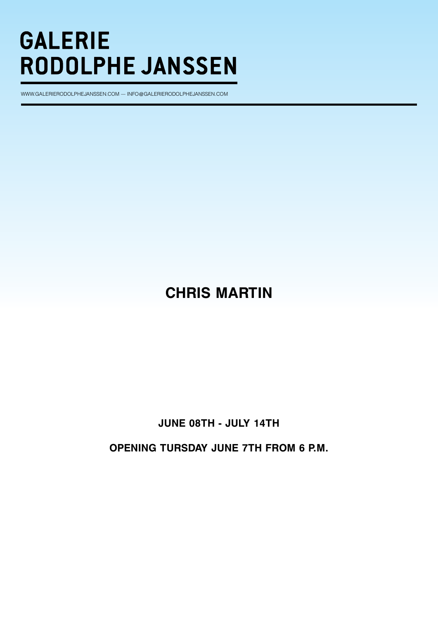www.galerIerODOLPHEJANSSEN.COM — INFO@GALERIERODOLPHEJANSSEN.COM

# **CHRIS MARTIN**

# **JUNE 08TH - JULY 14TH**

**OPENING TURSDAY JUNE 7TH FROM 6 P.M.**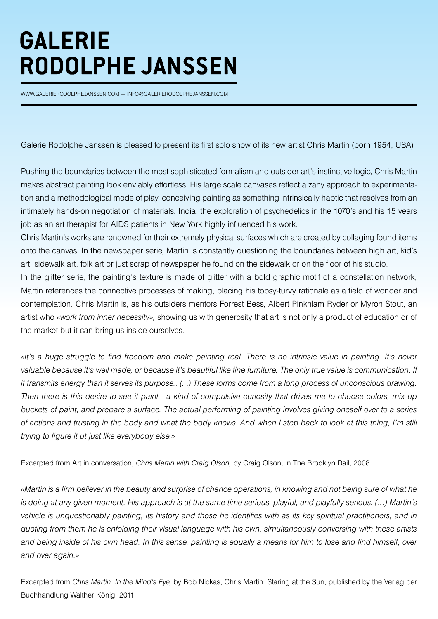www.galerIerOdOlphejaNsseN.cOm — INfO@galerIerOdOlphejaNsseN.cOm

Galerie Rodolphe Janssen is pleased to present its first solo show of its new artist Chris Martin (born 1954, USA)

Pushing the boundaries between the most sophisticated formalism and outsider art's instinctive logic, Chris Martin makes abstract painting look enviably effortless. His large scale canvases reflect a zany approach to experimentation and a methodological mode of play, conceiving painting as something intrinsically haptic that resolves from an intimately hands-on negotiation of materials. India, the exploration of psychedelics in the 1070's and his 15 years job as an art therapist for AIDS patients in New York highly influenced his work.

Chris Martin's works are renowned for their extremely physical surfaces which are created by collaging found items onto the canvas. In the newspaper serie, Martin is constantly questioning the boundaries between high art, kid's art, sidewalk art, folk art or just scrap of newspaper he found on the sidewalk or on the floor of his studio.

In the glitter serie, the painting's texture is made of glitter with a bold graphic motif of a constellation network, Martin references the connective processes of making, placing his topsy-turvy rationale as a field of wonder and contemplation. Chris Martin is, as his outsiders mentors Forrest Bess, Albert Pinkhlam Ryder or Myron Stout, an artist who «*work from inner necessity»,* showing us with generosity that art is not only a product of education or of the market but it can bring us inside ourselves.

*«It's a huge struggle to find freedom and make painting real. There is no intrinsic value in painting. It's never*  valuable because it's well made, or because it's beautiful like fine furniture. The only true value is communication. If *it transmits energy than it serves its purpose.. (...) These forms come from a long process of unconscious drawing. Then there is this desire to see it paint - a kind of compulsive curiosity that drives me to choose colors, mix up buckets of paint, and prepare a surface. The actual performing of painting involves giving oneself over to a series of actions and trusting in the body and what the body knows. And when I step back to look at this thing, I'm still trying to figure it ut just like everybody else.»*

Excerpted from Art in conversation, *Chris Martin with Craig Olson,* by Craig Olson, in The Brooklyn Rail, 2008

*«Martin is a firm believer in the beauty and surprise of chance operations, in knowing and not being sure of what he is doing at any given moment. His approach is at the same time serious, playful, and playfully serious. (…) Martin's vehicle is unquestionably painting, its history and those he identifies with as its key spiritual practitioners, and in quoting from them he is enfolding their visual language with his own, simultaneously conversing with these artists and being inside of his own head. In this sense, painting is equally a means for him to lose and find himself, over and over again.»*

Excerpted from *Chris Martin: In the Mind's Eye,* by Bob Nickas; Chris Martin: Staring at the Sun, published by the Verlag der Buchhandlung Walther König, 2011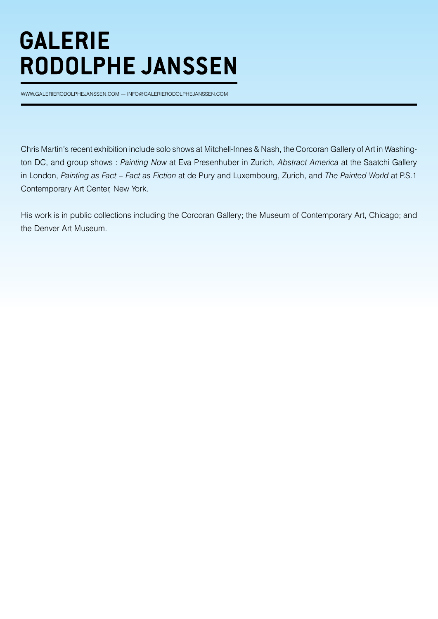www.GALERIERODOLPHEJANSSEN.COM — INFO@GALERIERODOLPHEJANSSEN.COM

Chris Martin's recent exhibition include solo shows at Mitchell-Innes & Nash, the Corcoran Gallery of Art in Washington DC, and group shows : *Painting Now* at Eva Presenhuber in Zurich, *Abstract America* at the Saatchi Gallery in London, *Painting as Fact – Fact as Fiction* at de Pury and Luxembourg, Zurich, and *The Painted World* at P.S.1 Contemporary Art Center, New York.

His work is in public collections including the Corcoran Gallery; the Museum of Contemporary Art, Chicago; and the Denver Art Museum.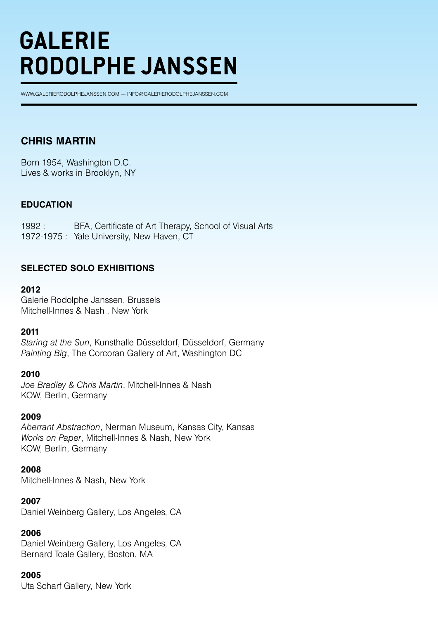WWW.GALERIERODOLPHEJANSSEN.COM — INFO@GALERIERODOLPHEJANSSEN.COM

# **CHRIS MARTIN**

Born 1954, Washington D.C. Lives & works in Brooklyn, NY

# **EDUCATION**

1992 : BFA, Certificate of Art Therapy, School of Visual Arts 1972-1975 : Yale University, New Haven, CT

# **SELECTED SOLO EXHIBITIONS**

#### **2012**

Galerie Rodolphe Janssen, Brussels Mitchell-Innes & Nash , New York

#### **2011**

*Staring at the Sun*, Kunsthalle Düsseldorf, Düsseldorf, Germany *Painting Big*, The Corcoran Gallery of Art, Washington DC

#### **2010**

*Joe Bradley & Chris Martin*, Mitchell-Innes & Nash KOW, Berlin, Germany

#### **2009**

*Aberrant Abstraction*, Nerman Museum, Kansas City, Kansas *Works on Paper*, Mitchell-Innes & Nash, New York KOW, Berlin, Germany

#### **2008**

Mitchell-Innes & Nash, New York

#### **2007**

Daniel Weinberg Gallery, Los Angeles, CA

# **2006**

Daniel Weinberg Gallery, Los Angeles, CA Bernard Toale Gallery, Boston, MA

# **2005**

Uta Scharf Gallery, New York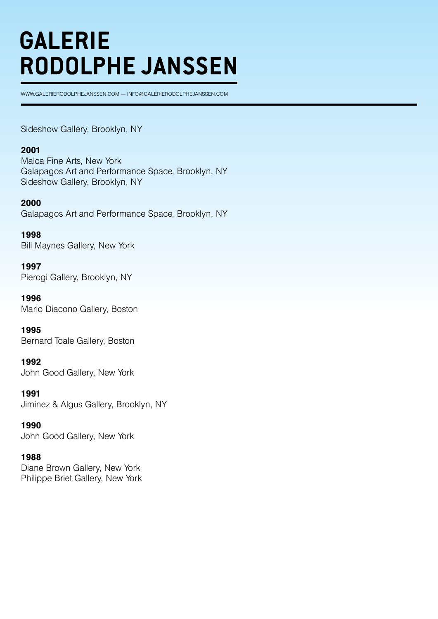WWW.GALERIERODOLPHEJANSSEN.COM — INFO@GALERIERODOLPHEJANSSEN.COM

Sideshow Gallery, Brooklyn, NY

#### **2001**

Malca Fine Arts, New York Galapagos Art and Performance Space, Brooklyn, NY Sideshow Gallery, Brooklyn, NY

#### **2000**

Galapagos Art and Performance Space, Brooklyn, NY

**1998** Bill Maynes Gallery, New York

**1997** Pierogi Gallery, Brooklyn, NY

**1996** Mario Diacono Gallery, Boston

**1995** Bernard Toale Gallery, Boston

**1992** John Good Gallery, New York

**1991** Jiminez & Algus Gallery, Brooklyn, NY

**1990** John Good Gallery, New York

#### **1988**

Diane Brown Gallery, New York Philippe Briet Gallery, New York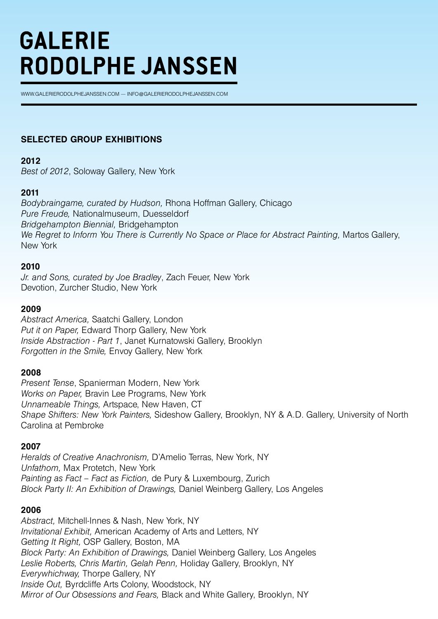WWW.GALERIERODOLPHEJANSSEN.COM — INFO@GALERIERODOLPHEJANSSEN.COM

# **SELECTED GROUP EXHIBITIONS**

#### **2012**

*Best of 2012*, Soloway Gallery, New York

# **2011**

*Bodybraingame, curated by Hudson,* Rhona Hoffman Gallery, Chicago *Pure Freude,* Nationalmuseum, Duesseldorf *Bridgehampton Biennial,* Bridgehampton *We Regret to Inform You There is Currently No Space or Place for Abstract Painting,* Martos Gallery, New York

# **2010**

*Jr. and Sons, curated by Joe Bradley*, Zach Feuer, New York Devotion, Zurcher Studio, New York

# **2009**

*Abstract America,* Saatchi Gallery, London *Put it on Paper,* Edward Thorp Gallery, New York *Inside Abstraction - Part 1*, Janet Kurnatowski Gallery, Brooklyn *Forgotten in the Smile,* Envoy Gallery, New York

# **2008**

*Present Tense*, Spanierman Modern, New York *Works on Paper,* Bravin Lee Programs, New York *Unnameable Things,* Artspace, New Haven, CT *Shape Shifters: New York Painters,* Sideshow Gallery, Brooklyn, NY & A.D. Gallery, University of North Carolina at Pembroke

# **2007**

*Heralds of Creative Anachronism,* D'Amelio Terras, New York, NY *Unfathom,* Max Protetch, New York *Painting as Fact – Fact as Fiction,* de Pury & Luxembourg, Zurich *Block Party II: An Exhibition of Drawings,* Daniel Weinberg Gallery, Los Angeles

# **2006**

*Abstract,* Mitchell-Innes & Nash, New York, NY *Invitational Exhibit,* American Academy of Arts and Letters, NY *Getting It Right,* OSP Gallery, Boston, MA *Block Party: An Exhibition of Drawings,* Daniel Weinberg Gallery, Los Angeles *Leslie Roberts, Chris Martin, Gelah Penn,* Holiday Gallery, Brooklyn, NY *Everywhichway,* Thorpe Gallery, NY *Inside Out,* Byrdcliffe Arts Colony, Woodstock, NY *Mirror of Our Obsessions and Fears,* Black and White Gallery, Brooklyn, NY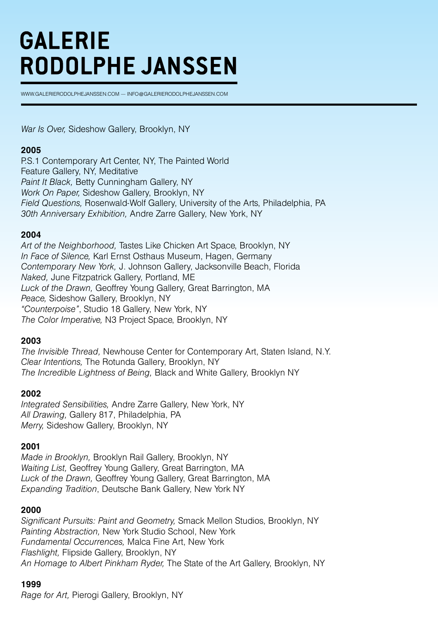WWW.GALERIERODOLPHEJANSSEN.COM — INFO@GALERIERODOLPHEJANSSEN.COM

*War Is Over,* Sideshow Gallery, Brooklyn, NY

#### **2005**

P.S.1 Contemporary Art Center, NY, The Painted World Feature Gallery, NY, Meditative *Paint It Black,* Betty Cunningham Gallery, NY *Work On Paper,* Sideshow Gallery, Brooklyn, NY *Field Questions,* Rosenwald-Wolf Gallery, University of the Arts, Philadelphia, PA *30th Anniversary Exhibition,* Andre Zarre Gallery, New York, NY

#### **2004**

*Art of the Neighborhood,* Tastes Like Chicken Art Space, Brooklyn, NY *In Face of Silence,* Karl Ernst Osthaus Museum, Hagen, Germany *Contemporary New York,* J. Johnson Gallery, Jacksonville Beach, Florida *Naked,* June Fitzpatrick Gallery, Portland, ME *Luck of the Drawn,* Geoffrey Young Gallery, Great Barrington, MA *Peace,* Sideshow Gallery, Brooklyn, NY *"Counterpoise"*, Studio 18 Gallery, New York, NY *The Color Imperative,* N3 Project Space, Brooklyn, NY

# **2003**

*The Invisible Thread,* Newhouse Center for Contemporary Art, Staten Island, N.Y. *Clear Intentions,* The Rotunda Gallery, Brooklyn, NY *The Incredible Lightness of Being,* Black and White Gallery, Brooklyn NY

#### **2002**

*Integrated Sensibilities,* Andre Zarre Gallery, New York, NY *All Drawing,* Gallery 817, Philadelphia, PA *Merry,* Sideshow Gallery, Brooklyn, NY

# **2001**

*Made in Brooklyn,* Brooklyn Rail Gallery, Brooklyn, NY *Waiting List,* Geoffrey Young Gallery, Great Barrington, MA *Luck of the Drawn,* Geoffrey Young Gallery, Great Barrington, MA *Expanding Tradition*, Deutsche Bank Gallery, New York NY

# **2000**

*Significant Pursuits: Paint and Geometry,* Smack Mellon Studios, Brooklyn, NY *Painting Abstraction,* New York Studio School, New York *Fundamental Occurrences,* Malca Fine Art, New York *Flashlight,* Flipside Gallery, Brooklyn, NY *An Homage to Albert Pinkham Ryder,* The State of the Art Gallery, Brooklyn, NY

# **1999**

*Rage for Art,* Pierogi Gallery, Brooklyn, NY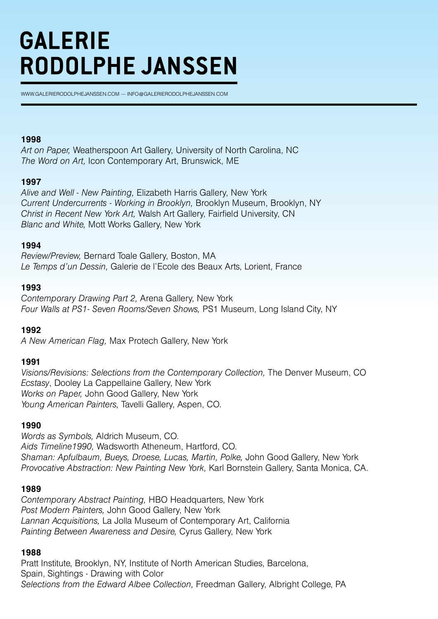WWW.GALERIERODOLPHEJANSSEN.COM — INFO@GALERIERODOLPHEJANSSEN.COM

#### **1998**

*Art on Paper,* Weatherspoon Art Gallery, University of North Carolina, NC *The Word on Art,* Icon Contemporary Art, Brunswick, ME

#### **1997**

*Alive and Well - New Painting,* Elizabeth Harris Gallery, New York *Current Undercurrents - Working in Brooklyn,* Brooklyn Museum, Brooklyn, NY *Christ in Recent New York Art,* Walsh Art Gallery, Fairfield University, CN *Blanc and White,* Mott Works Gallery, New York

#### **1994**

*Review/Preview,* Bernard Toale Gallery, Boston, MA *Le Temps d'un Dessin,* Galerie de l'Ecole des Beaux Arts, Lorient, France

#### **1993**

*Contemporary Drawing Part 2,* Arena Gallery, New York *Four Walls at PS1- Seven Rooms/Seven Shows,* PS1 Museum, Long Island City, NY

# **1992**

*A New American Flag,* Max Protech Gallery, New York

# **1991**

*Visions/Revisions: Selections from the Contemporary Collection,* The Denver Museum, CO *Ecstasy*, Dooley La Cappellaine Gallery, New York *Works on Paper,* John Good Gallery, New York *Young American Painters,* Tavelli Gallery, Aspen, CO.

# **1990**

*Words as Symbols,* Aldrich Museum, CO. *Aids Timeline1990,* Wadsworth Atheneum, Hartford, CO. *Shaman: Apfulbaum, Bueys, Droese, Lucas, Martin, Polke,* John Good Gallery, New York *Provocative Abstraction: New Painting New York,* Karl Bornstein Gallery, Santa Monica, CA.

#### **1989**

*Contemporary Abstract Painting,* HBO Headquarters, New York *Post Modern Painters,* John Good Gallery, New York *Lannan Acquisitions,* La Jolla Museum of Contemporary Art, California *Painting Between Awareness and Desire,* Cyrus Gallery, New York

#### **1988**

Pratt Institute, Brooklyn, NY, Institute of North American Studies, Barcelona, Spain, Sightings - Drawing with Color *Selections from the Edward Albee Collection,* Freedman Gallery, Albright College, PA